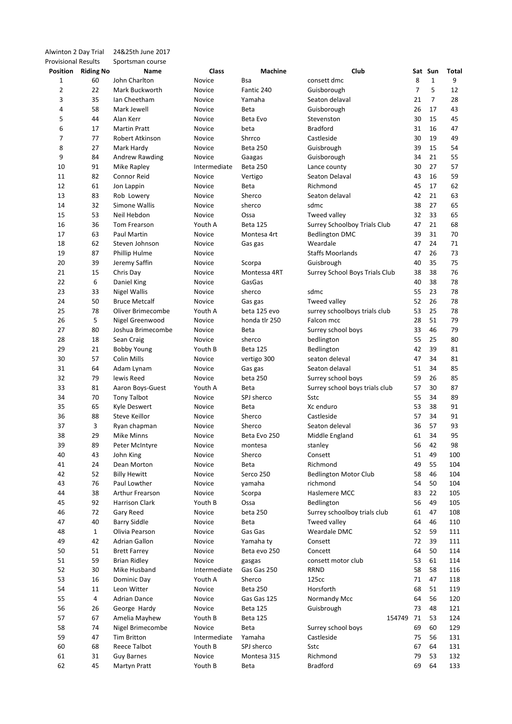| Alwinton 2 Day Trial       |                  | 24&25th June 2017     |              |                 |                                |    |                |       |
|----------------------------|------------------|-----------------------|--------------|-----------------|--------------------------------|----|----------------|-------|
| <b>Provisional Results</b> |                  | Sportsman course      |              |                 |                                |    |                |       |
| Position                   | <b>Riding No</b> | Name                  | Class        | <b>Machine</b>  | Club                           |    | Sat Sun        | Total |
| 1                          | 60               | John Charlton         | Novice       | Bsa             | consett dmc                    | 8  | $\mathbf{1}$   | 9     |
| 2                          | 22               | Mark Buckworth        | Novice       | Fantic 240      | Guisborough                    | 7  | 5              | 12    |
| 3                          | 35               | Ian Cheetham          | Novice       | Yamaha          | Seaton delaval                 | 21 | $\overline{7}$ | 28    |
| 4                          | 58               | Mark Jewell           | Novice       | Beta            | Guisborough                    | 26 | 17             | 43    |
| 5                          | 44               | Alan Kerr             | Novice       | Beta Evo        | Stevenston                     | 30 | 15             | 45    |
| 6                          | 17               | <b>Martin Pratt</b>   | Novice       | beta            | <b>Bradford</b>                | 31 | 16             | 47    |
| 7                          | 77               | Robert Atkinson       | Novice       | Shrrco          | Castleside                     | 30 | 19             | 49    |
| 8                          | 27               | Mark Hardy            | Novice       | <b>Beta 250</b> | Guisbrough                     | 39 | 15             | 54    |
| 9                          | 84               | Andrew Rawding        | Novice       | Gaagas          | Guisborough                    | 34 | 21             | 55    |
| 10                         | 91               | Mike Rapley           | Intermediate | <b>Beta 250</b> | Lance county                   | 30 | 27             | 57    |
| 11                         | 82               | Connor Reid           | Novice       | Vertigo         | Seaton Delaval                 | 43 | 16             | 59    |
| 12                         | 61               | Jon Lappin            | Novice       | Beta            | Richmond                       | 45 | 17             | 62    |
| 13                         | 83               | Rob Lowery            | Novice       | Sherco          | Seaton delaval                 | 42 | 21             | 63    |
| 14                         | 32               | Simone Wallis         | Novice       | sherco          | sdmc                           | 38 | 27             | 65    |
| 15                         | 53               | Neil Hebdon           | Novice       | Ossa            | Tweed valley                   | 32 | 33             | 65    |
| 16                         | 36               | Tom Frearson          | Youth A      | <b>Beta 125</b> | Surrey Schoolboy Trials Club   | 47 | 21             | 68    |
| 17                         | 63               | Paul Martin           | Novice       | Montesa 4rt     | <b>Bedlington DMC</b>          | 39 | 31             | 70    |
| 18                         | 62               | Steven Johnson        | Novice       | Gas gas         | Weardale                       | 47 | 24             | 71    |
| 19                         | 87               | Phillip Hulme         | Novice       |                 | <b>Staffs Moorlands</b>        | 47 | 26             | 73    |
| 20                         | 39               | Jeremy Saffin         | Novice       | Scorpa          | Guisbrough                     | 40 | 35             | 75    |
| 21                         | 15               | Chris Day             | Novice       | Montessa 4RT    | Surrey School Boys Trials Club | 38 | 38             | 76    |
| 22                         | 6                | Daniel King           | Novice       | GasGas          |                                | 40 | 38             | 78    |
| 23                         | 33               | <b>Nigel Wallis</b>   | Novice       | sherco          | sdmc                           | 55 | 23             | 78    |
| 24                         | 50               | <b>Bruce Metcalf</b>  | Novice       | Gas gas         | Tweed valley                   | 52 | 26             | 78    |
| 25                         | 78               | Oliver Brimecombe     | Youth A      | beta 125 evo    | surrey schoolboys trials club  | 53 | 25             | 78    |
| 26                         | 5                | Nigel Greenwood       | Novice       | honda tlr 250   | Falcon mcc                     | 28 | 51             | 79    |
| 27                         | 80               | Joshua Brimecombe     | Novice       | Beta            | Surrey school boys             | 33 | 46             | 79    |
| 28                         | 18               | Sean Craig            | Novice       | sherco          | bedlington                     | 55 | 25             | 80    |
| 29                         | 21               | <b>Bobby Young</b>    | Youth B      | <b>Beta 125</b> | Bedlington                     | 42 | 39             | 81    |
| 30                         | 57               | Colin Mills           | Novice       | vertigo 300     | seaton deleval                 | 47 | 34             | 81    |
| 31                         | 64               | Adam Lynam            | Novice       | Gas gas         | Seaton delaval                 | 51 | 34             | 85    |
| 32                         | 79               | lewis Reed            | Novice       | beta 250        | Surrey school boys             | 59 | 26             | 85    |
| 33                         | 81               | Aaron Boys-Guest      | Youth A      | Beta            | Surrey school boys trials club | 57 | 30             | 87    |
| 34                         | 70               | <b>Tony Talbot</b>    | Novice       | SPJ sherco      | Sstc                           | 55 | 34             | 89    |
| 35                         | 65               | <b>Kyle Deswert</b>   | Novice       | Beta            | Xc enduro                      | 53 | 38             | 91    |
| 36                         | 88               | Steve Keillor         | Novice       | Sherco          | Castleside                     | 57 | 34             | 91    |
| 37                         | 3                | Ryan chapman          | Novice       | Sherco          | Seaton deleval                 | 36 | 57             | 93    |
| 38                         | 29               | Mike Minns            | Novice       | Beta Evo 250    | Middle England                 | 61 | 34             | 95    |
| 39                         | 89               | Peter McIntyre        | Novice       | montesa         | stanley                        | 56 | 42             | 98    |
| 40                         | 43               | John King             | Novice       | Sherco          | Consett                        | 51 | 49             | 100   |
| 41                         | 24               | Dean Morton           | Novice       | Beta            | Richmond                       | 49 | 55             | 104   |
| 42                         | 52               | <b>Billy Hewitt</b>   | Novice       | Serco 250       | <b>Bedlington Motor Club</b>   | 58 | 46             | 104   |
| 43                         | 76               | Paul Lowther          | Novice       | vamaha          | richmond                       | 54 | 50             | 104   |
| 44                         | 38               | Arthur Frearson       | Novice       | Scorpa          | Haslemere MCC                  | 83 | 22             | 105   |
| 45                         | 92               | <b>Harrison Clark</b> | Youth B      | Ossa            | Bedlington                     | 56 | 49             | 105   |
| 46                         | 72               | Gary Reed             | Novice       | beta 250        | Surrey schoolboy trials club   | 61 | 47             | 108   |
| 47                         | 40               | <b>Barry Siddle</b>   | Novice       | Beta            | Tweed valley                   | 64 | 46             | 110   |
| 48                         | $\mathbf{1}$     | Olivia Pearson        | Novice       | Gas Gas         | Weardale DMC                   | 52 | 59             | 111   |
| 49                         | 42               | Adrian Gallon         | Novice       | Yamaha ty       | Consett                        | 72 | 39             | 111   |
| 50                         | 51               | <b>Brett Farrey</b>   | Novice       | Beta evo 250    | Concett                        | 64 | 50             | 114   |
| 51                         | 59               | <b>Brian Ridley</b>   | Novice       | gasgas          | consett motor club             | 53 | 61             | 114   |
| 52                         | 30               | Mike Husband          | Intermediate | Gas Gas 250     | <b>RRND</b>                    | 58 | 58             | 116   |
| 53                         | 16               | Dominic Day           | Youth A      | Sherco          | 125cc                          | 71 | 47             | 118   |
| 54                         | 11               | Leon Witter           | Novice       | Beta 250        | Horsforth                      | 68 | 51             | 119   |
| 55                         | 4                | <b>Adrian Dance</b>   | Novice       | Gas Gas 125     | Normandy Mcc                   | 64 | 56             | 120   |
| 56                         | 26               | George Hardy          | Novice       | <b>Beta 125</b> | Guisbrough                     | 73 | 48             | 121   |
| 57                         | 67               | Amelia Mayhew         | Youth B      | <b>Beta 125</b> | 154749                         | 71 | 53             | 124   |
| 58                         | 74               | Nigel Brimecombe      | Novice       | Beta            | Surrey school boys             | 69 | 60             | 129   |
| 59                         | 47               | <b>Tim Britton</b>    | Intermediate | Yamaha          | Castleside                     | 75 | 56             | 131   |
| 60                         | 68               | Reece Talbot          | Youth B      | SPJ sherco      | Sstc                           | 67 | 64             | 131   |
| 61                         | 31               | <b>Guy Barnes</b>     | Novice       | Montesa 315     | Richmond                       | 79 | 53             | 132   |
| 62                         | 45               | Martyn Pratt          | Youth B      | Beta            | <b>Bradford</b>                | 69 | 64             | 133   |
|                            |                  |                       |              |                 |                                |    |                |       |